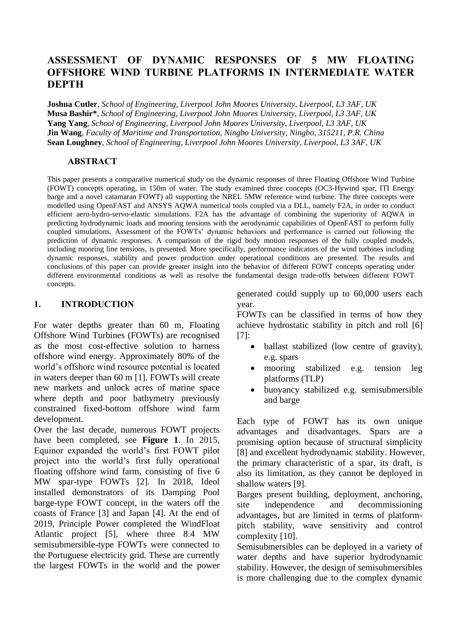# **ASSESSMENT OF DYNAMIC RESPONSES OF 5 MW FLOATING OFFSHORE WIND TURBINE PLATFORMS IN INTERMEDIATE WATER DEPTH**

**Joshua Cutler**, *School of Engineering, Liverpool John Moores University, Liverpool, L3 3AF, UK* **Musa Bashir\***, *School of Engineering, Liverpool John Moores University, Liverpool, L3 3AF, UK* **Yang Yang**, *School of Engineering, Liverpool John Moores University, Liverpool, L3 3AF, UK* **Jin Wang**, *Faculty of Maritime and Transportation, Ningbo University, Ningbo, 315211, P.R. China* **Sean Loughney**, *School of Engineering, Liverpool John Moores University, Liverpool, L3 3AF, UK*

### **ABSTRACT**

This paper presents a comparative numerical study on the dynamic responses of three Floating Offshore Wind Turbine (FOWT) concepts operating, in 150m of water. The study examined three concepts (OC3-Hywind spar, ITI Energy barge and a novel catamaran FOWT) all supporting the NREL 5MW reference wind turbine. The three concepts were modelled using OpenFAST and ANSYS AQWA numerical tools coupled via a DLL, namely F2A, in order to conduct efficient aero-hydro-servo-elastic simulations. F2A has the advantage of combining the superiority of AQWA in predicting hydrodynamic loads and mooring tensions with the aerodynamic capabilities of OpenFAST to perform fully coupled simulations. Assessment of the FOWTs' dynamic behaviors and performance is carried out following the prediction of dynamic responses. A comparison of the rigid body motion responses of the fully coupled models, including mooring line tensions, is presented. More specifically, performance indicators of the wind turbines including dynamic responses, stability and power production under operational conditions are presented. The results and conclusions of this paper can provide greater insight into the behavior of different FOWT concepts operating under different environmental conditions as well as resolve the fundamental design trade-offs between different FOWT concepts.

## **1. INTRODUCTION**

For water depths greater than 60 m, Floating Offshore Wind Turbines (FOWTs) are recognised as the most cost-effective solution to harness offshore wind energy. Approximately 80% of the world's offshore wind resource potential is located in waters deeper than 60 m [1]. FOWTs will create new markets and unlock acres of marine space where depth and poor bathymetry previously constrained fixed-bottom offshore wind farm development.

Over the last decade, numerous FOWT projects have been completed, see **Figure 1**. In 2015, Equinor expanded the world's first FOWT pilot project into the world's first fully operational floating offshore wind farm, consisting of five 6 MW spar-type FOWTs [2]. In 2018, Ideol installed demonstrators of its Damping Pool barge-type FOWT concept, in the waters off the coasts of France [3] and Japan [4]. At the end of 2019, Principle Power completed the WindFloat Atlantic project [5], where three 8.4 MW semisubmersible-type FOWTs were connected to the Portuguese electricity grid. These are currently the largest FOWTs in the world and the power

generated could supply up to 60,000 users each year.

FOWTs can be classified in terms of how they achieve hydrostatic stability in pitch and roll [6] [7]:

- ballast stabilized (low centre of gravity). e.g. spars
- mooring stabilized e.g. tension leg platforms (TLP)
- buoyancy stabilized e.g. semisubmersible and barge

Each type of FOWT has its own unique advantages and disadvantages. Spars are a promising option because of structural simplicity [8] and excellent hydrodynamic stability. However, the primary characteristic of a spar, its draft, is also its limitation, as they cannot be deployed in shallow waters [9].

Barges present building, deployment, anchoring, site independence and decommissioning advantages, but are limited in terms of platformpitch stability, wave sensitivity and control complexity [10].

Semisubmersibles can be deployed in a variety of water depths and have superior hydrodynamic stability. However, the design of semisubmersibles is more challenging due to the complex dynamic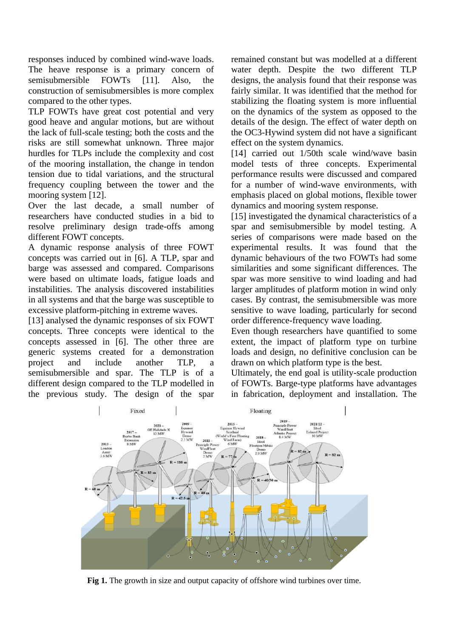responses induced by combined wind-wave loads. The heave response is a primary concern of semisubmersible FOWTs [11]. Also, the construction of semisubmersibles is more complex compared to the other types.

TLP FOWTs have great cost potential and very good heave and angular motions, but are without the lack of full-scale testing; both the costs and the risks are still somewhat unknown. Three major hurdles for TLPs include the complexity and cost of the mooring installation, the change in tendon tension due to tidal variations, and the structural frequency coupling between the tower and the mooring system [12].

Over the last decade, a small number of researchers have conducted studies in a bid to resolve preliminary design trade-offs among different FOWT concepts.

A dynamic response analysis of three FOWT concepts was carried out in [6]. A TLP, spar and barge was assessed and compared. Comparisons were based on ultimate loads, fatigue loads and instabilities. The analysis discovered instabilities in all systems and that the barge was susceptible to excessive platform-pitching in extreme waves.

[13] analysed the dynamic responses of six FOWT concepts. Three concepts were identical to the concepts assessed in [6]. The other three are generic systems created for a demonstration project and include another TLP, a semisubmersible and spar. The TLP is of a different design compared to the TLP modelled in the previous study. The design of the spar

remained constant but was modelled at a different water depth. Despite the two different TLP designs, the analysis found that their response was fairly similar. It was identified that the method for stabilizing the floating system is more influential on the dynamics of the system as opposed to the details of the design. The effect of water depth on the OC3-Hywind system did not have a significant effect on the system dynamics.

[14] carried out 1/50th scale wind/wave basin model tests of three concepts. Experimental performance results were discussed and compared for a number of wind-wave environments, with emphasis placed on global motions, flexible tower dynamics and mooring system response.

[15] investigated the dynamical characteristics of a spar and semisubmersible by model testing. A series of comparisons were made based on the experimental results. It was found that the dynamic behaviours of the two FOWTs had some similarities and some significant differences. The spar was more sensitive to wind loading and had larger amplitudes of platform motion in wind only cases. By contrast, the semisubmersible was more sensitive to wave loading, particularly for second order difference-frequency wave loading.

Even though researchers have quantified to some extent, the impact of platform type on turbine loads and design, no definitive conclusion can be drawn on which platform type is the best.

Ultimately, the end goal is utility-scale production of FOWTs. Barge-type platforms have advantages in fabrication, deployment and installation. The



**Fig 1.** The growth in size and output capacity of offshore wind turbines over time.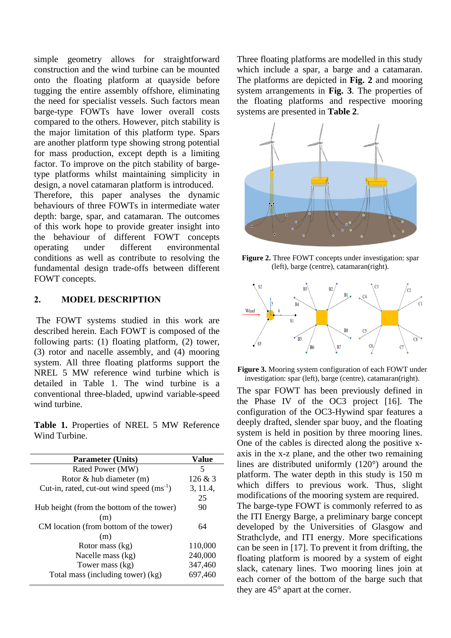simple geometry allows for straightforward construction and the wind turbine can be mounted onto the floating platform at quayside before tugging the entire assembly offshore, eliminating the need for specialist vessels. Such factors mean barge-type FOWTs have lower overall costs compared to the others. However, pitch stability is the major limitation of this platform type. Spars are another platform type showing strong potential for mass production, except depth is a limiting factor. To improve on the pitch stability of bargetype platforms whilst maintaining simplicity in design, a novel catamaran platform is introduced. Therefore, this paper analyses the dynamic behaviours of three FOWTs in intermediate water depth: barge, spar, and catamaran. The outcomes of this work hope to provide greater insight into the behaviour of different FOWT concepts operating under different environmental conditions as well as contribute to resolving the fundamental design trade-offs between different FOWT concepts.

## **2. MODEL DESCRIPTION**

The FOWT systems studied in this work are described herein. Each FOWT is composed of the following parts: (1) floating platform, (2) tower, (3) rotor and nacelle assembly, and (4) mooring system. All three floating platforms support the NREL 5 MW reference wind turbine which is detailed in Table 1. The wind turbine is a conventional three-bladed, upwind variable-speed wind turbine.

**Table 1.** Properties of NREL 5 MW Reference Wind Turbine.

| <b>Parameter (Units)</b>                      | Value    |  |  |
|-----------------------------------------------|----------|--|--|
| Rated Power (MW)                              | 5        |  |  |
| Rotor $\&$ hub diameter (m)                   | 126 & 3  |  |  |
| Cut-in, rated, cut-out wind speed $(ms^{-1})$ | 3, 11.4, |  |  |
|                                               | 25       |  |  |
| Hub height (from the bottom of the tower)     | 90       |  |  |
| (m)                                           |          |  |  |
| CM location (from bottom of the tower)        | 64       |  |  |
| (m)                                           |          |  |  |
| Rotor mass (kg)                               | 110,000  |  |  |
| Nacelle mass (kg)                             | 240,000  |  |  |
| Tower mass (kg)                               | 347,460  |  |  |
| Total mass (including tower) (kg)             | 697,460  |  |  |

Three floating platforms are modelled in this study which include a spar, a barge and a catamaran. The platforms are depicted in **Fig. 2** and mooring system arrangements in **Fig. 3**. The properties of the floating platforms and respective mooring systems are presented in **Table 2**.



**Figure 2.** Three FOWT concepts under investigation: spar (left), barge (centre), catamaran(right).



**Figure 3.** Mooring system configuration of each FOWT under investigation: spar (left), barge (centre), catamaran(right).

The spar FOWT has been previously defined in the Phase IV of the OC3 project [16]. The configuration of the OC3-Hywind spar features a deeply drafted, slender spar buoy, and the floating system is held in position by three mooring lines. One of the cables is directed along the positive xaxis in the x-z plane, and the other two remaining lines are distributed uniformly (120°) around the platform. The water depth in this study is 150 m which differs to previous work. Thus, slight modifications of the mooring system are required. The barge-type FOWT is commonly referred to as the ITI Energy Barge, a preliminary barge concept developed by the Universities of Glasgow and Strathclyde, and ITI energy. More specifications can be seen in [17]. To prevent it from drifting, the floating platform is moored by a system of eight slack, catenary lines. Two mooring lines join at each corner of the bottom of the barge such that they are 45° apart at the corner.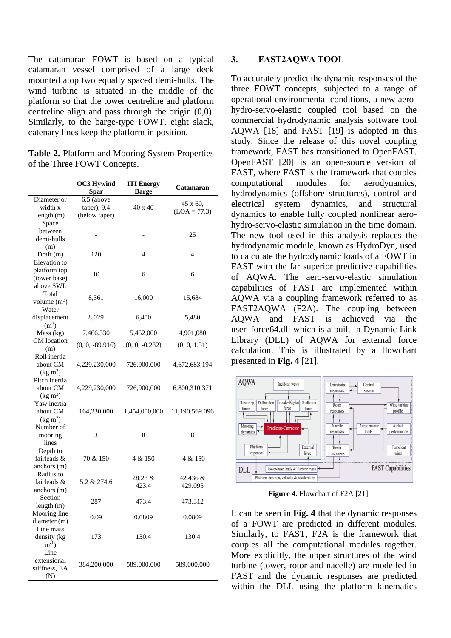The catamaran FOWT is based on a typical catamaran vessel comprised of a large deck mounted atop two equally spaced demi-hulls. The wind turbine is situated in the middle of the platform so that the tower centreline and platform centreline align and pass through the origin (0,0). Similarly, to the barge-type FOWT, eight slack, catenary lines keep the platform in position.

**Table 2.** Platform and Mooring System Properties of the Three FOWT Concepts.

|                                   | <b>OC3 Hywind</b> | <b>ITI Energy</b> | Catamaran      |  |
|-----------------------------------|-------------------|-------------------|----------------|--|
|                                   | <b>Spar</b>       | <b>Barge</b>      |                |  |
| Diameter or                       | 6.5 (above        |                   |                |  |
| width x                           | taper), 9.4       | 40 x 40           | 45 x 60.       |  |
| length (m)                        | (below taper)     |                   | $(LOA = 77.3)$ |  |
| Space                             |                   |                   |                |  |
| between                           |                   |                   | 25             |  |
| demi-hulls                        |                   |                   |                |  |
| (m)                               |                   |                   |                |  |
| Draft (m)                         | 120               | 4                 | 4              |  |
| Elevation to                      |                   |                   |                |  |
| platform top                      | 10                | 6                 | 6              |  |
| (tower base)                      |                   |                   |                |  |
| above SWL                         |                   |                   |                |  |
| Total                             | 8,361             | 16,000            | 15,684         |  |
| volume $(m^3)$                    |                   |                   |                |  |
| Water                             |                   |                   |                |  |
| displacement<br>(m <sup>3</sup> ) | 8,029             | 6,400             | 5,480          |  |
| Mass (kg)                         | 7,466,330         | 5,452,000         | 4,901,080      |  |
| CM location                       |                   |                   |                |  |
| (m)                               | $(0, 0, -89.916)$ | $(0, 0, -0.282)$  | (0, 0, 1.51)   |  |
| Roll inertia                      |                   |                   |                |  |
| about CM                          | 4,229,230,000     | 726,900,000       | 4,672,683,194  |  |
| (kg m <sup>2</sup> )              |                   |                   |                |  |
| Pitch inertia                     |                   |                   |                |  |
| about CM                          | 4,229,230,000     | 726,900,000       | 6,800,310,371  |  |
| (kg m <sup>2</sup> )              |                   |                   |                |  |
| Yaw inertia                       |                   |                   |                |  |
| about CM                          | 164,230,000       | 1,454,000,000     | 11,190,569,096 |  |
| (kg m <sup>2</sup> )              |                   |                   |                |  |
| Number of                         |                   |                   |                |  |
| mooring                           | 3                 | 8                 | 8              |  |
| lines                             |                   |                   |                |  |
| Depth to                          |                   |                   |                |  |
| fairleads &                       | 70 & 150          | 4 & 150           | $-4 & 150$     |  |
| anchors (m)                       |                   |                   |                |  |
| Radius to                         |                   | 28.28 &           | 42.436 &       |  |
| fairleads &                       | 5.2 & 274.6       | 423.4             | 429.095        |  |
| anchors (m)                       |                   |                   |                |  |
| Section                           | 287               | 473.4             | 473.312        |  |
| length $(m)$                      |                   |                   |                |  |
| Mooring line                      | 0.09              | 0.0809            | 0.0809         |  |
| diameter (m)                      |                   |                   |                |  |
| Line mass                         |                   | 130.4             | 130.4          |  |
| density (kg<br>$m^{-1}$ )         | 173               |                   |                |  |
| Line                              |                   |                   |                |  |
| extensional                       |                   |                   |                |  |
| stiffness, EA                     | 384,200,000       | 589,000,000       | 589,000,000    |  |
| (N)                               |                   |                   |                |  |
|                                   |                   |                   |                |  |

#### **3. FAST2AQWA TOOL**

To accurately predict the dynamic responses of the three FOWT concepts, subjected to a range of operational environmental conditions, a new aerohydro-servo-elastic coupled tool based on the commercial hydrodynamic analysis software tool AQWA [18] and FAST [19] is adopted in this study. Since the release of this novel coupling framework, FAST has transitioned to OpenFAST. OpenFAST [20] is an open-source version of FAST, where FAST is the framework that couples computational modules for aerodynamics, hydrodynamics (offshore structures), control and electrical system dynamics, and structural dynamics to enable fully coupled nonlinear aerohydro-servo-elastic simulation in the time domain. The new tool used in this analysis replaces the hydrodynamic module, known as HydroDyn, used to calculate the hydrodynamic loads of a FOWT in FAST with the far superior predictive capabilities of AQWA. The aero-servo-elastic simulation capabilities of FAST are implemented within AQWA via a coupling framework referred to as FAST2AQWA (F2A). The coupling between AQWA and FAST is achieved via the user force64.dll which is a built-in Dynamic Link Library (DLL) of AQWA for external force calculation. This is illustrated by a flowchart presented in **Fig. 4** [21].



**Figure 4.** Flowchart of F2A [21].

It can be seen in **Fig. 4** that the dynamic responses of a FOWT are predicted in different modules. Similarly, to FAST, F2A is the framework that couples all the computational modules together. More explicitly, the upper structures of the wind turbine (tower, rotor and nacelle) are modelled in FAST and the dynamic responses are predicted within the DLL using the platform kinematics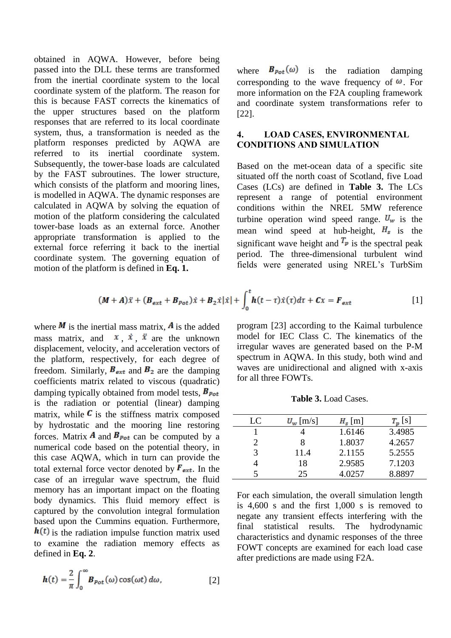obtained in AQWA. However, before being passed into the DLL these terms are transformed from the inertial coordinate system to the local coordinate system of the platform. The reason for this is because FAST corrects the kinematics of the upper structures based on the platform responses that are referred to its local coordinate system, thus, a transformation is needed as the platform responses predicted by AQWA are referred to its inertial coordinate system. Subsequently, the tower-base loads are calculated by the FAST subroutines. The lower structure, which consists of the platform and mooring lines, is modelled in AQWA. The dynamic responses are calculated in AQWA by solving the equation of motion of the platform considering the calculated tower-base loads as an external force. Another appropriate transformation is applied to the external force referring it back to the inertial coordinate system. The governing equation of motion of the platform is defined in **Eq. 1.**

where  $B_{pot}(\omega)$  is the radiation damping corresponding to the wave frequency of  $\omega$ . For more information on the F2A coupling framework and coordinate system transformations refer to [22].

## **4. LOAD CASES, ENVIRONMENTAL CONDITIONS AND SIMULATION**

Based on the met-ocean data of a specific site situated off the north coast of Scotland, five Load Cases (LCs) are defined in **Table 3.** The LCs represent a range of potential environment conditions within the NREL 5MW reference turbine operation wind speed range.  $U_w$  is the mean wind speed at hub-height,  $H_s$  is the significant wave height and  $T_p$  is the spectral peak period. The three-dimensional turbulent wind fields were generated using NREL's TurbSim

$$
(\boldsymbol{M} + \boldsymbol{A})\ddot{\boldsymbol{x}} + (\boldsymbol{B}_{ext} + \boldsymbol{B}_{pot})\dot{\boldsymbol{x}} + \boldsymbol{B}_2\dot{\boldsymbol{x}}|\dot{\boldsymbol{x}}| + \int_0^t \boldsymbol{h}(t-\tau)\dot{\boldsymbol{x}}(\tau)d\tau + \boldsymbol{C}\boldsymbol{x} = \boldsymbol{F}_{ext}
$$
 [1]

where  $\bf{M}$  is the inertial mass matrix,  $\bf{A}$  is the added mass matrix, and  $x$ ,  $\dot{x}$ ,  $\ddot{x}$  are the unknown displacement, velocity, and acceleration vectors of the platform, respectively, for each degree of freedom. Similarly,  $B_{ext}$  and  $B_2$  are the damping coefficients matrix related to viscous (quadratic) damping typically obtained from model tests,  $B_{pot}$ is the radiation or potential (linear) damping matrix, while  $\mathbf{C}$  is the stiffness matrix composed by hydrostatic and the mooring line restoring forces. Matrix **A** and  $B_{pot}$  can be computed by a numerical code based on the potential theory, in this case AQWA, which in turn can provide the total external force vector denoted by  $F_{ext}$ . In the case of an irregular wave spectrum, the fluid memory has an important impact on the floating body dynamics. This fluid memory effect is captured by the convolution integral formulation based upon the Cummins equation. Furthermore,  $h(t)$  is the radiation impulse function matrix used to examine the radiation memory effects as defined in **Eq. 2**.

$$
h(t) = \frac{2}{\pi} \int_0^\infty B_{pot}(\omega) \cos(\omega t) d\omega, \qquad [2]
$$

program [23] according to the Kaimal turbulence model for IEC Class C. The kinematics of the irregular waves are generated based on the P-M spectrum in AQWA. In this study, both wind and waves are unidirectional and aligned with x-axis for all three FOWTs.

**Table 3.** Load Cases.

| LC | $U_w$ [m/s] | $H_s$ [m] | $T_n$ [s] |
|----|-------------|-----------|-----------|
|    |             | 1.6146    | 3.4985    |
| 2  | 8           | 1.8037    | 4.2657    |
| 3  | 11.4        | 2.1155    | 5.2555    |
|    | 18          | 2.9585    | 7.1203    |
|    | 25          | 4.0257    | 8.8897    |

For each simulation, the overall simulation length is 4,600 s and the first 1,000 s is removed to negate any transient effects interfering with the final statistical results. The hydrodynamic characteristics and dynamic responses of the three FOWT concepts are examined for each load case after predictions are made using F2A.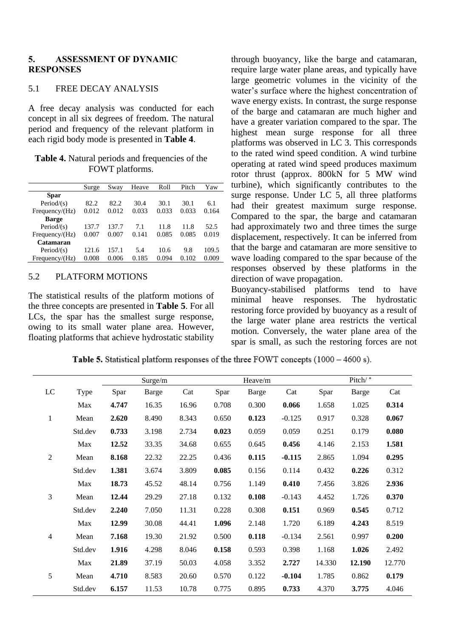#### **5. ASSESSMENT OF DYNAMIC RESPONSES**

### 5.1 FREE DECAY ANALYSIS

A free decay analysis was conducted for each concept in all six degrees of freedom. The natural period and frequency of the relevant platform in each rigid body mode is presented in **Table 4**.

| <b>Table 4.</b> Natural periods and frequencies of the |
|--------------------------------------------------------|
| FOWT platforms.                                        |

|                   | Surge | Sway  | Heave | Roll  | Pitch | Yaw   |
|-------------------|-------|-------|-------|-------|-------|-------|
| <b>Spar</b>       |       |       |       |       |       |       |
| Period/ $(s)$     | 82.2  | 82.2  | 30.4  | 30.1  | 30.1  | 6.1   |
| Frequency/ $(Hz)$ | 0.012 | 0.012 | 0.033 | 0.033 | 0.033 | 0.164 |
| <b>Barge</b>      |       |       |       |       |       |       |
| Period/ $(s)$     | 137.7 | 137.7 | 7.1   | 11.8  | 11.8  | 52.5  |
| Frequency/ $(Hz)$ | 0.007 | 0.007 | 0.141 | 0.085 | 0.085 | 0.019 |
| Catamaran         |       |       |       |       |       |       |
| Period/ $(s)$     | 121.6 | 157.1 | 5.4   | 10.6  | 9.8   | 109.5 |
| Frequency/(Hz)    | 0.008 | 0.006 | 0.185 | 0.094 | 0.102 | 0.009 |

#### 5.2 PLATFORM MOTIONS

The statistical results of the platform motions of the three concepts are presented in **Table 5**. For all LCs, the spar has the smallest surge response, owing to its small water plane area. However, floating platforms that achieve hydrostatic stability

through buoyancy, like the barge and catamaran, require large water plane areas, and typically have large geometric volumes in the vicinity of the water's surface where the highest concentration of wave energy exists. In contrast, the surge response of the barge and catamaran are much higher and have a greater variation compared to the spar. The highest mean surge response for all three platforms was observed in LC 3. This corresponds to the rated wind speed condition. A wind turbine operating at rated wind speed produces maximum rotor thrust (approx. 800kN for 5 MW wind turbine), which significantly contributes to the surge response. Under LC 5, all three platforms had their greatest maximum surge response. Compared to the spar, the barge and catamaran had approximately two and three times the surge displacement, respectively. It can be inferred from that the barge and catamaran are more sensitive to wave loading compared to the spar because of the responses observed by these platforms in the direction of wave propagation.

Buoyancy-stabilised platforms tend to have minimal heave responses. The hydrostatic restoring force provided by buoyancy as a result of the large water plane area restricts the vertical motion. Conversely, the water plane area of the spar is small, as such the restoring forces are not

Table 5. Statistical platform responses of the three FOWT concepts (1000 - 4600 s).

|                |         | Surge/m |              |       | Heave/m |              |          | Pitch/ ° |              |        |
|----------------|---------|---------|--------------|-------|---------|--------------|----------|----------|--------------|--------|
| LC             | Type    | Spar    | <b>Barge</b> | Cat   | Spar    | <b>Barge</b> | Cat      | Spar     | <b>Barge</b> | Cat    |
|                | Max     | 4.747   | 16.35        | 16.96 | 0.708   | 0.300        | 0.066    | 1.658    | 1.025        | 0.314  |
| $\mathbf{1}$   | Mean    | 2.620   | 8.490        | 8.343 | 0.650   | 0.123        | $-0.125$ | 0.917    | 0.328        | 0.067  |
|                | Std.dev | 0.733   | 3.198        | 2.734 | 0.023   | 0.059        | 0.059    | 0.251    | 0.179        | 0.080  |
|                | Max     | 12.52   | 33.35        | 34.68 | 0.655   | 0.645        | 0.456    | 4.146    | 2.153        | 1.581  |
| $\overline{2}$ | Mean    | 8.168   | 22.32        | 22.25 | 0.436   | 0.115        | $-0.115$ | 2.865    | 1.094        | 0.295  |
|                | Std.dev | 1.381   | 3.674        | 3.809 | 0.085   | 0.156        | 0.114    | 0.432    | 0.226        | 0.312  |
|                | Max     | 18.73   | 45.52        | 48.14 | 0.756   | 1.149        | 0.410    | 7.456    | 3.826        | 2.936  |
| 3              | Mean    | 12.44   | 29.29        | 27.18 | 0.132   | 0.108        | $-0.143$ | 4.452    | 1.726        | 0.370  |
|                | Std.dev | 2.240   | 7.050        | 11.31 | 0.228   | 0.308        | 0.151    | 0.969    | 0.545        | 0.712  |
|                | Max     | 12.99   | 30.08        | 44.41 | 1.096   | 2.148        | 1.720    | 6.189    | 4.243        | 8.519  |
| $\overline{4}$ | Mean    | 7.168   | 19.30        | 21.92 | 0.500   | 0.118        | $-0.134$ | 2.561    | 0.997        | 0.200  |
|                | Std.dev | 1.916   | 4.298        | 8.046 | 0.158   | 0.593        | 0.398    | 1.168    | 1.026        | 2.492  |
|                | Max     | 21.89   | 37.19        | 50.03 | 4.058   | 3.352        | 2.727    | 14.330   | 12.190       | 12.770 |
| 5              | Mean    | 4.710   | 8.583        | 20.60 | 0.570   | 0.122        | $-0.104$ | 1.785    | 0.862        | 0.179  |
|                | Std.dev | 6.157   | 11.53        | 10.78 | 0.775   | 0.895        | 0.733    | 4.370    | 3.775        | 4.046  |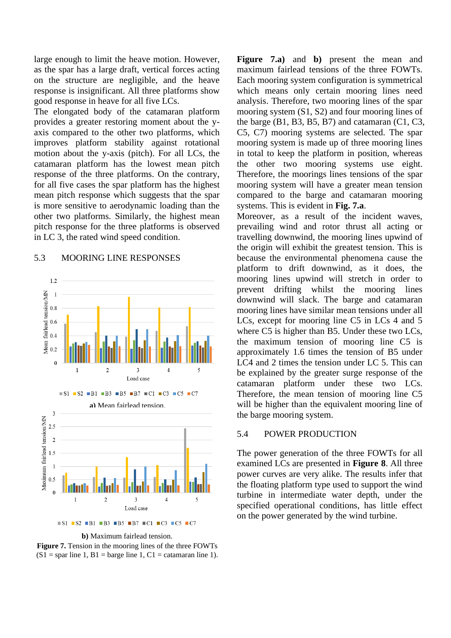large enough to limit the heave motion. However, as the spar has a large draft, vertical forces acting on the structure are negligible, and the heave response is insignificant. All three platforms show good response in heave for all five LCs.

The elongated body of the catamaran platform provides a greater restoring moment about the yaxis compared to the other two platforms, which improves platform stability against rotational motion about the y-axis (pitch). For all LCs, the catamaran platform has the lowest mean pitch response of the three platforms. On the contrary, for all five cases the spar platform has the highest mean pitch response which suggests that the spar is more sensitive to aerodynamic loading than the other two platforms. Similarly, the highest mean pitch response for the three platforms is observed in LC 3, the rated wind speed condition.

#### 5.3 MOORING LINE RESPONSES



**b)** Maximum fairlead tension.

**Figure 7.** Tension in the mooring lines of the three FOWTs  $(S1 =$ spar line 1, B1 = barge line 1, C1 = catamaran line 1).

**Figure 7.a)** and **b)** present the mean and maximum fairlead tensions of the three FOWTs. Each mooring system configuration is symmetrical which means only certain mooring lines need analysis. Therefore, two mooring lines of the spar mooring system (S1, S2) and four mooring lines of the barge  $(B1, B3, B5, B7)$  and catamaran  $(C1, C3,$ C5, C7) mooring systems are selected. The spar mooring system is made up of three mooring lines in total to keep the platform in position, whereas the other two mooring systems use eight. Therefore, the moorings lines tensions of the spar mooring system will have a greater mean tension compared to the barge and catamaran mooring systems. This is evident in **Fig. 7.a**.

Moreover, as a result of the incident waves, prevailing wind and rotor thrust all acting or travelling downwind, the mooring lines upwind of the origin will exhibit the greatest tension. This is because the environmental phenomena cause the platform to drift downwind, as it does, the mooring lines upwind will stretch in order to prevent drifting whilst the mooring lines downwind will slack. The barge and catamaran mooring lines have similar mean tensions under all LCs, except for mooring line C5 in LCs 4 and 5 where C5 is higher than B5. Under these two LCs, the maximum tension of mooring line C5 is approximately 1.6 times the tension of B5 under LC4 and 2 times the tension under LC 5. This can be explained by the greater surge response of the catamaran platform under these two LCs. Therefore, the mean tension of mooring line C5 will be higher than the equivalent mooring line of the barge mooring system.

#### 5.4 POWER PRODUCTION

The power generation of the three FOWTs for all examined LCs are presented in **Figure 8**. All three power curves are very alike. The results infer that the floating platform type used to support the wind turbine in intermediate water depth, under the specified operational conditions, has little effect on the power generated by the wind turbine.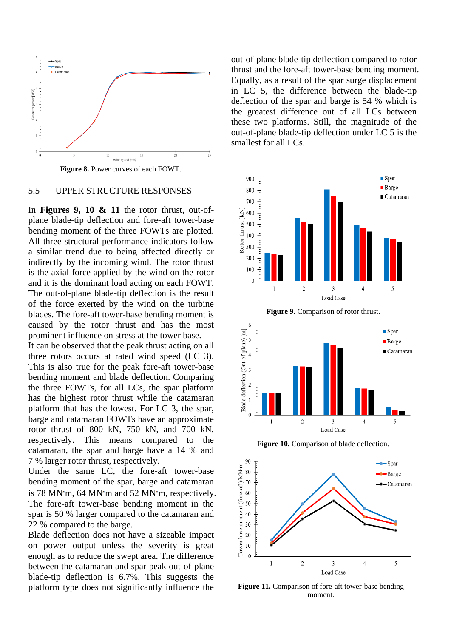

**Figure 8.** Power curves of each FOWT.

#### 5.5 UPPER STRUCTURE RESPONSES

In **Figures 9, 10 & 11** the rotor thrust, out-ofplane blade-tip deflection and fore-aft tower-base bending moment of the three FOWTs are plotted. All three structural performance indicators follow a similar trend due to being affected directly or indirectly by the incoming wind. The rotor thrust is the axial force applied by the wind on the rotor and it is the dominant load acting on each FOWT. The out-of-plane blade-tip deflection is the result of the force exerted by the wind on the turbine blades. The fore-aft tower-base bending moment is caused by the rotor thrust and has the most prominent influence on stress at the tower base.

It can be observed that the peak thrust acting on all three rotors occurs at rated wind speed (LC 3). This is also true for the peak fore-aft tower-base bending moment and blade deflection. Comparing the three FOWTs, for all LCs, the spar platform has the highest rotor thrust while the catamaran platform that has the lowest. For LC 3, the spar, barge and catamaran FOWTs have an approximate rotor thrust of 800 kN, 750 kN, and 700 kN, respectively. This means compared to the catamaran, the spar and barge have a 14 % and 7 % larger rotor thrust, respectively.

Under the same LC, the fore-aft tower-base bending moment of the spar, barge and catamaran is 78 MN m, 64 MN m and 52 MN m, respectively. The fore-aft tower-base bending moment in the spar is 50 % larger compared to the catamaran and 22 % compared to the barge.

Blade deflection does not have a sizeable impact on power output unless the severity is great enough as to reduce the swept area. The difference between the catamaran and spar peak out-of-plane blade-tip deflection is 6.7%. This suggests the platform type does not significantly influence the out-of-plane blade-tip deflection compared to rotor thrust and the fore-aft tower-base bending moment. Equally, as a result of the spar surge displacement in LC 5, the difference between the blade-tip deflection of the spar and barge is 54 % which is the greatest difference out of all LCs between these two platforms. Still, the magnitude of the out-of-plane blade-tip deflection under LC 5 is the smallest for all LCs.





**Figure 10.** Comparison of blade deflection.



**Figure 11.** Comparison of fore-aft tower-base bending moment.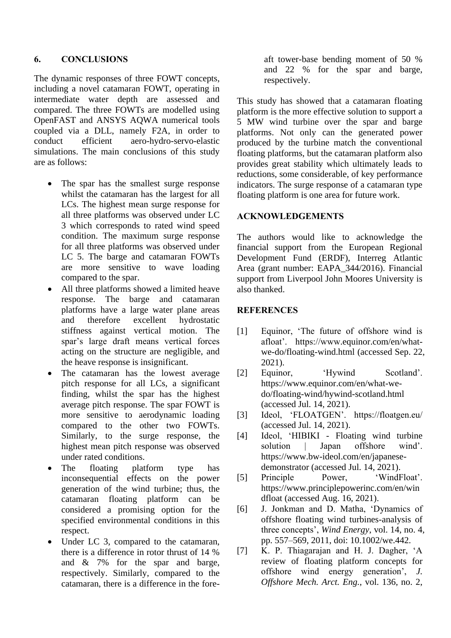## **6. CONCLUSIONS**

The dynamic responses of three FOWT concepts, including a novel catamaran FOWT, operating in intermediate water depth are assessed and compared. The three FOWTs are modelled using OpenFAST and ANSYS AQWA numerical tools coupled via a DLL, namely F2A, in order to conduct efficient aero-hydro-servo-elastic simulations. The main conclusions of this study are as follows:

- The spar has the smallest surge response whilst the catamaran has the largest for all LCs. The highest mean surge response for all three platforms was observed under LC 3 which corresponds to rated wind speed condition. The maximum surge response for all three platforms was observed under LC 5. The barge and catamaran FOWTs are more sensitive to wave loading compared to the spar.
- All three platforms showed a limited heave response. The barge and catamaran platforms have a large water plane areas and therefore excellent hydrostatic stiffness against vertical motion. The spar's large draft means vertical forces acting on the structure are negligible, and the heave response is insignificant.
- The catamaran has the lowest average pitch response for all LCs, a significant finding, whilst the spar has the highest average pitch response. The spar FOWT is more sensitive to aerodynamic loading compared to the other two FOWTs. Similarly, to the surge response, the highest mean pitch response was observed under rated conditions.
- The floating platform type has inconsequential effects on the power generation of the wind turbine; thus, the catamaran floating platform can be considered a promising option for the specified environmental conditions in this respect.
- Under LC 3, compared to the catamaran, there is a difference in rotor thrust of 14 % and & 7% for the spar and barge, respectively. Similarly, compared to the catamaran, there is a difference in the fore-

aft tower-base bending moment of 50 % and 22 % for the spar and barge, respectively.

This study has showed that a catamaran floating platform is the more effective solution to support a 5 MW wind turbine over the spar and barge platforms. Not only can the generated power produced by the turbine match the conventional floating platforms, but the catamaran platform also provides great stability which ultimately leads to reductions, some considerable, of key performance indicators. The surge response of a catamaran type floating platform is one area for future work.

## **ACKNOWLEDGEMENTS**

The authors would like to acknowledge the financial support from the European Regional Development Fund (ERDF), Interreg Atlantic Area (grant number: EAPA\_344/2016). Financial support from Liverpool John Moores University is also thanked.

# **REFERENCES**

- [1] Equinor, 'The future of offshore wind is afloat'. https://www.equinor.com/en/whatwe-do/floating-wind.html (accessed Sep. 22, 2021).
- [2] Equinor, 'Hywind Scotland'. https://www.equinor.com/en/what-wedo/floating-wind/hywind-scotland.html (accessed Jul. 14, 2021).
- [3] Ideol, 'FLOATGEN'. https://floatgen.eu/ (accessed Jul. 14, 2021).
- [4] Ideol, 'HIBIKI Floating wind turbine solution | Japan offshore wind'. https://www.bw-ideol.com/en/japanesedemonstrator (accessed Jul. 14, 2021).
- [5] Principle Power, 'WindFloat'. https://www.principlepowerinc.com/en/win dfloat (accessed Aug. 16, 2021).
- [6] J. Jonkman and D. Matha, 'Dynamics of offshore floating wind turbines-analysis of three concepts', *Wind Energy*, vol. 14, no. 4, pp. 557–569, 2011, doi: 10.1002/we.442.
- [7] K. P. Thiagarajan and H. J. Dagher, 'A review of floating platform concepts for offshore wind energy generation', *J. Offshore Mech. Arct. Eng.*, vol. 136, no. 2,